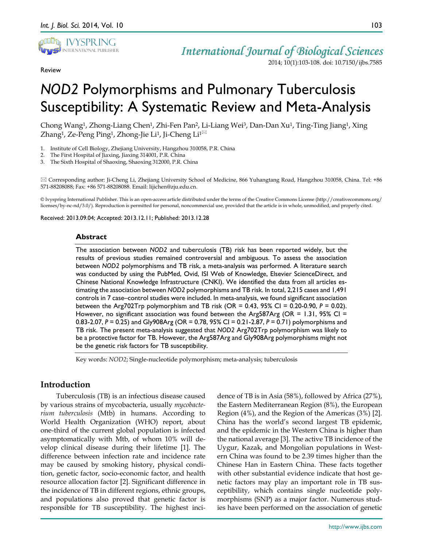

Review

# *International Journal of Biological Sciences* 2014; 10(1):103-108. doi: 10.7150/ijbs.7585

# *NOD2* Polymorphisms and Pulmonary Tuberculosis Susceptibility: A Systematic Review and Meta-Analysis

Chong Wang1, Zhong-Liang Chen1, Zhi-Fen Pan2, Li-Liang Wei3, Dan-Dan Xu1, Ting-Ting Jiang1, Xing Zhang<sup>1</sup>, Ze-Peng Ping<sup>1</sup>, Zhong-Jie Li<sup>1</sup>, Ji-Cheng Li<sup>1 $\boxtimes$ </sup>

- 1. Institute of Cell Biology, Zhejiang University, Hangzhou 310058, P.R. China
- 2. The First Hospital of Jiaxing, Jiaxing 314001, P.R. China
- 3. The Sixth Hospital of Shaoxing, Shaoxing 312000, P.R. China

 Corresponding author: Ji-Cheng Li, Zhejiang University School of Medicine, 866 Yuhangtang Road, Hangzhou 310058, China. Tel: +86 571-88208088; Fax: +86 571-88208088. Email: lijichen@zju.edu.cn.

© Ivyspring International Publisher. This is an open-access article distributed under the terms of the Creative Commons License (http://creativecommons.org/ licenses/by-nc-nd/3.0/). Reproduction is permitted for personal, noncommercial use, provided that the article is in whole, unmodified, and properly cited.

Received: 2013.09.04; Accepted: 2013.12.11; Published: 2013.12.28

# **Abstract**

The association between *NOD2* and tuberculosis (TB) risk has been reported widely, but the results of previous studies remained controversial and ambiguous. To assess the association between *NOD2* polymorphisms and TB risk, a meta-analysis was performed. A literature search was conducted by using the PubMed, Ovid, ISI Web of Knowledge, Elsevier ScienceDirect, and Chinese National Knowledge Infrastructure (CNKI). We identified the data from all articles estimating the association between *NOD2* polymorphisms and TB risk. In total, 2,215 cases and 1,491 controls in 7 case–control studies were included. In meta-analysis, we found significant association between the Arg702Trp polymorphism and TB risk (OR = 0.43, 95% CI = 0.20-0.90, *P* = 0.02). However, no significant association was found between the Arg587Arg (OR = 1.31, 95% CI = 0.83-2.07, *P* = 0.25) and Gly908Arg (OR = 0.78, 95% CI = 0.21-2.87, *P* = 0.71) polymorphisms and TB risk. The present meta-analysis suggested that *NOD2* Arg702Trp polymorphism was likely to be a protective factor for TB. However, the Arg587Arg and Gly908Arg polymorphisms might not be the genetic risk factors for TB susceptibility.

Key words: *NOD2*; Single-nucleotide polymorphism; meta-analysis; tuberculosis

# **Introduction**

Tuberculosis (TB) is an infectious disease caused by various strains of mycobacteria, usually *mycobacterium tuberculosis* (Mtb) in humans. According to World Health Organization (WHO) report, about one-third of the current global population is infected asymptomatically with Mtb, of whom 10% will develop clinical disease during their lifetime [1]. The difference between infection rate and incidence rate may be caused by smoking history, physical condition, genetic factor, socio-economic factor, and health resource allocation factor [2]. Significant difference in the incidence of TB in different regions, ethnic groups, and populations also proved that genetic factor is responsible for TB susceptibility. The highest incidence of TB is in Asia (58%), followed by Africa (27%), the Eastern Mediterranean Region (8%), the European Region (4%), and the Region of the Americas (3%) [2]. China has the world's second largest TB epidemic, and the epidemic in the Western China is higher than the national average [3]. The active TB incidence of the Uygur, Kazak, and Mongolian populations in Western China was found to be 2.39 times higher than the Chinese Han in Eastern China. These facts together with other substantial evidence indicate that host genetic factors may play an important role in TB susceptibility, which contains single nucleotide polymorphisms (SNP) as a major factor. Numerous studies have been performed on the association of genetic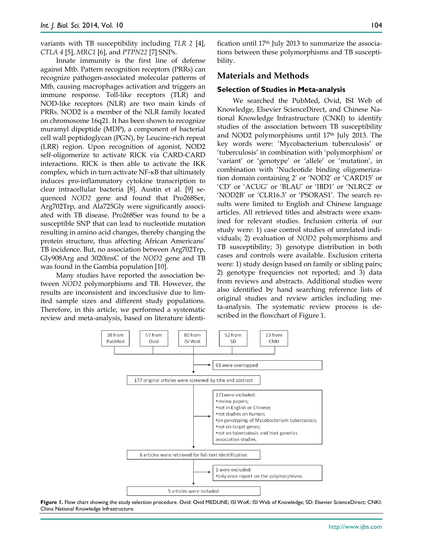variants with TB susceptibility including *TLR 2* [4], *CTLA 4* [5], *MRC1* [6], and *PTPN22* [7] SNPs.

Innate immunity is the first line of defense against Mtb. Pattern recognition receptors (PRRs) can recognize pathogen-associated molecular patterns of Mtb, causing macrophages activation and triggers an immune response. Toll-like receptors (TLR) and NOD-like receptors (NLR) are two main kinds of PRRs. NOD2 is a member of the NLR family located on chromosome 16q21. It has been shown to recognize muramyl dipeptide (MDP), a component of bacterial cell wall peptidoglycan (PGN), by Leucine-rich repeat (LRR) region. Upon recognition of agonist, NOD2 self-oligomerize to activate RICK via CARD-CARD interactions. RICK is then able to activate the IKK complex, which in turn activate NF-κB that ultimately induces pro-inflammatory cytokine transcription to clear intracellular bacteria [8]. Austin et al. [9] sequenced *NOD2* gene and found that Pro268Ser, Arg702Trp, and Ala725Gly were significantly associated with TB disease. Pro268Ser was found to be a susceptible SNP that can lead to nucleotide mutation resulting in amino acid changes, thereby changing the protein structure, thus affecting African Americans' TB incidence. But, no association between Arg702Trp, Gly908Arg and 3020insC of the *NOD2* gene and TB was found in the Gambia population [10].

Many studies have reported the association between *NOD2* polymorphisms and TB. However, the results are inconsistent and inconclusive due to limited sample sizes and different study populations. Therefore, in this article, we performed a systematic review and meta-analysis, based on literature identification until  $17<sup>th</sup>$  July 2013 to summarize the associations between these polymorphisms and TB susceptibility.

# **Materials and Methods**

#### **Selection of Studies in Meta-analysis**

We searched the PubMed, Ovid, ISI Web of Knowledge, Elsevier ScienceDirect, and Chinese National Knowledge Infrastructure (CNKI) to identify studies of the association between TB susceptibility and NOD2 polymorphisms until 17th July 2013. The key words were: 'Mycobacterium tuberculosis' or 'tuberculosis' in combination with 'polymorphism' or 'variant' or 'genotype' or 'allele' or 'mutation', in combination with 'Nucleotide binding oligomerization domain containing 2' or 'NOD2' or 'CARD15' or 'CD' or 'ACUG' or 'BLAU' or 'IBD1' or 'NLRC2' or 'NOD2B' or 'CLR16.3' or 'PSORAS1'. The search results were limited to English and Chinese language articles. All retrieved titles and abstracts were examined for relevant studies. Inclusion criteria of our study were: 1) case control studies of unrelated individuals; 2) evaluation of *NOD2* polymorphisms and TB susceptibility; 3) genotype distribution in both cases and controls were available. Exclusion criteria were: 1) study design based on family or sibling pairs; 2) genotype frequencies not reported; and 3) data from reviews and abstracts. Additional studies were also identified by hand searching reference lists of original studies and review articles including meta-analysis. The systematic review process is described in the flowchart of Figure 1.



**Figure 1.** Flow chart showing the study selection procedure. Ovid: Ovid MEDLINE; ISI WoK: ISI Web of Knowledge; SD: Elsevier ScienceDirect; CNKI: China National Knowledge Infrastructure.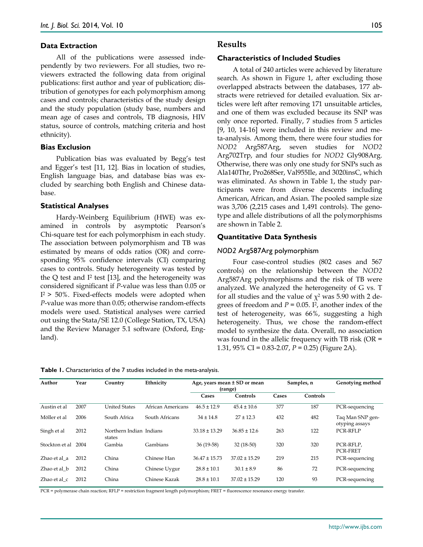#### **Data Extraction**

All of the publications were assessed independently by two reviewers. For all studies, two reviewers extracted the following data from original publications: first author and year of publication; distribution of genotypes for each polymorphism among cases and controls; characteristics of the study design and the study population (study base, numbers and mean age of cases and controls, TB diagnosis, HIV status, source of controls, matching criteria and host ethnicity).

#### **Bias Exclusion**

Publication bias was evaluated by Begg's test and Egger's test [11, 12]. Bias in location of studies, English language bias, and database bias was excluded by searching both English and Chinese database.

#### **Statistical Analyses**

Hardy-Weinberg Equilibrium (HWE) was examined in controls by asymptotic Pearson's Chi-square test for each polymorphism in each study. The association between polymorphism and TB was estimated by means of odds ratios (OR) and corresponding 95% confidence intervals (CI) comparing cases to controls. Study heterogeneity was tested by the  $Q$  test and  $I<sup>2</sup>$  test [13], and the heterogeneity was considered significant if *P*-value was less than 0.05 or  $I^2$  > 50%. Fixed-effects models were adopted when *P*-value was more than 0.05; otherwise random-effects models were used. Statistical analyses were carried out using the Stata/SE 12.0 (College Station, TX, USA) and the Review Manager 5.1 software (Oxford, England).

#### **Results**

#### **Characteristics of Included Studies**

A total of 240 articles were achieved by literature search. As shown in Figure 1, after excluding those overlapped abstracts between the databases, 177 abstracts were retrieved for detailed evaluation. Six articles were left after removing 171 unsuitable articles, and one of them was excluded because its SNP was only once reported. Finally, 7 studies from 5 articles [9, 10, 14-16] were included in this review and meta-analysis. Among them, there were four studies for *NOD2* Arg587Arg, seven studies for *NOD2* Arg702Trp, and four studies for *NOD2* Gly908Arg. Otherwise, there was only one study for SNPs such as Ala140Thr, Pro268Ser, Val955Ile, and 3020insC, which was eliminated. As shown in Table 1, the study participants were from diverse descents including American, African, and Asian. The pooled sample size was 3,706 (2,215 cases and 1,491 controls). The genotype and allele distributions of all the polymorphisms are shown in Table 2.

### **Quantitative Data Synthesis**

#### *NOD2* Arg587Arg polymorphism

Four case-control studies (802 cases and 567 controls) on the relationship between the *NOD2* Arg587Arg polymorphisms and the risk of TB were analyzed. We analyzed the heterogeneity of G vs. T for all studies and the value of  $\chi^2$  was 5.90 with 2 degrees of freedom and  $P = 0.05$ . I<sup>2</sup>, another index of the test of heterogeneity, was 66%, suggesting a high heterogeneity. Thus, we chose the random-effect model to synthesize the data. Overall, no association was found in the allelic frequency with TB risk (OR = 1.31, 95% CI = 0.83-2.07, *P* = 0.25) (Figure 2A).

**Table 1.** Characteristics of the 7 studies included in the meta-analysis.

| Author         | Year | Country                           | Ethnicity         |                   | Age, years mean ± SD or mean<br>(range) |       | Samples, n | <b>Genotying method</b>            |
|----------------|------|-----------------------------------|-------------------|-------------------|-----------------------------------------|-------|------------|------------------------------------|
|                |      |                                   |                   | Cases             | Controls                                | Cases | Controls   |                                    |
| Austin et al   | 2007 | <b>United States</b>              | African Americans | $46.5 \pm 12.9$   | $45.4 \pm 10.6$                         | 377   | 187        | PCR-sequencing                     |
| Möller et al   | 2006 | South Africa                      | South Africans    | $34 \pm 14.8$     | $27 \pm 12.3$                           | 432   | 482        | Taq Man SNP gen-<br>otyping assays |
| Singh et al    | 2012 | Northern Indian Indians<br>states |                   | $33.18 \pm 13.29$ | $36.85 \pm 12.6$                        | 263   | 122        | PCR-RFLP                           |
| Stockton et al | 2004 | Gambia                            | Gambians          | $36(19-58)$       | $32(18-50)$                             | 320   | 320        | PCR-RFLP.<br><b>PCR-FRET</b>       |
| Zhao et al a   | 2012 | China                             | Chinese Han       | $36.47 \pm 15.73$ | $37.02 \pm 15.29$                       | 219   | 215        | PCR-sequencing                     |
| Zhao et al b   | 2012 | China                             | Chinese Uygur     | $28.8 \pm 10.1$   | $30.1 \pm 8.9$                          | 86    | 72         | PCR-sequencing                     |
| Zhao et al c   | 2012 | China                             | Chinese Kazak     | $28.8 \pm 10.1$   | $37.02 \pm 15.29$                       | 120   | 93         | PCR-sequencing                     |

PCR = polymerase chain reaction; RFLP = restriction fragment length polymorphism; FRET = fluorescence resonance energy transfer.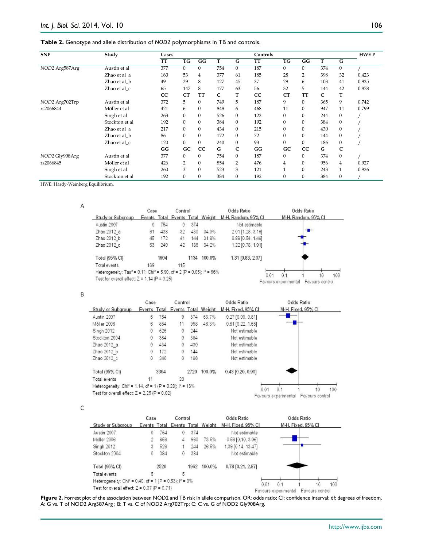# **Table 2.** Genotype and allele distribution of *NOD2* polymorphisms in TB and controls.

| <b>SNP</b>     | Study          | Cases     |                |                |              |              | Controls |           |                |     |                | <b>HWEP</b> |
|----------------|----------------|-----------|----------------|----------------|--------------|--------------|----------|-----------|----------------|-----|----------------|-------------|
|                |                | <b>TT</b> | TG             | GG             | T            | G            | TT       | TG        | GG             | т   | G              |             |
| NOD2 Arg587Arg | Austin et al   | 377       | $\Omega$       | $\Omega$       | 754          | $\Omega$     | 187      | $\Omega$  | $\Omega$       | 374 | $\mathbf{0}$   |             |
|                | Zhao et al a   | 160       | 53             | $\overline{4}$ | 377          | 61           | 185      | 28        | $\overline{2}$ | 398 | 32             | 0.423       |
|                | Zhao et al b   | 49        | 29             | 8              | 127          | 45           | 37       | 29        | 6              | 103 | 41             | 0.925       |
|                | Zhao et al c   | 65        | 147            | 8              | 177          | 63           | 56       | 32        | 5              | 144 | 42             | 0.878       |
|                |                | CC        | <b>CT</b>      | <b>TT</b>      | $\mathsf{C}$ | T            | CC       | <b>CT</b> | <b>TT</b>      | C   | T              |             |
| NOD2 Arg702Trp | Austin et al   | 372       | 5              | $\mathbf{0}$   | 749          | 5            | 187      | 9         | $\Omega$       | 365 | 9              | 0.742       |
| rs2066844      | Möller et al   | 421       | 6              | $\mathbf{0}$   | 848          | 6            | 468      | 11        | $\Omega$       | 947 | 11             | 0.799       |
|                | Singh et al    | 263       | $\Omega$       | $\mathbf{0}$   | 526          | $\mathbf{0}$ | 122      | $\Omega$  | $\Omega$       | 244 | $\mathbf{0}$   |             |
|                | Stockton et al | 192       | $\Omega$       | $\mathbf{0}$   | 384          | $\mathbf{0}$ | 192      | $\Omega$  | $\mathbf{0}$   | 384 | $\mathbf{0}$   |             |
|                | Zhao et al a   | 217       | $\Omega$       | $\mathbf{0}$   | 434          | $\mathbf{0}$ | 215      | $\Omega$  | $\Omega$       | 430 | $\mathbf{0}$   |             |
|                | Zhao et al b   | 86        | $\Omega$       | $\mathbf{0}$   | 172          | $\Omega$     | 72       | $\Omega$  | $\mathbf{0}$   | 144 | $\mathbf{0}$   |             |
|                | Zhao et al c   | 120       | $\Omega$       | $\Omega$       | 240          | $\Omega$     | 93       | $\Omega$  | $\Omega$       | 186 | $\Omega$       |             |
|                |                | GG        | GC             | CC             | G            | C            | GG       | GC        | CC             | G   | C              |             |
| NOD2 Gly908Arg | Austin et al   | 377       | $\Omega$       | $\mathbf{0}$   | 754          | $\Omega$     | 187      | $\Omega$  | $\Omega$       | 374 | $\mathbf{0}$   |             |
| rs2066845      | Möller et al   | 426       | $\overline{2}$ | $\mathbf{0}$   | 854          | 2            | 476      | 4         | $\Omega$       | 956 | $\overline{4}$ | 0.927       |
|                | Singh et al    | 260       | 3              | $\Omega$       | 523          | 3            | 121      |           | $\Omega$       | 243 | $\mathbf{1}$   | 0.926       |
|                | Stockton et al | 192       | $\Omega$       | $\mathbf{0}$   | 384          | $\Omega$     | 192      | $\Omega$  | $\Omega$       | 384 | $\Omega$       |             |

HWE: Hardy-Weinberg Equilibrium.

 $\overline{A}$ 

|                                                                                                          | Case |      | Control |      |                                  | Odds Ratio          |                                     | Odds Ratio            |     |
|----------------------------------------------------------------------------------------------------------|------|------|---------|------|----------------------------------|---------------------|-------------------------------------|-----------------------|-----|
| Study or Subgroup                                                                                        |      |      |         |      | Events Total Events Total Weight | M-H, Random, 95% CI |                                     | M-H, Random, 95% CI   |     |
| Austin 2007                                                                                              | 0    | 754  | 0       | 374  |                                  | Not estimable       |                                     |                       |     |
| Zhao 2012 a                                                                                              | 61   | 438  | 32      | 430  | 34.0%                            | 2.01 [1.28, 3.16]   |                                     |                       |     |
| Zhao 2012 b                                                                                              | 45   | 172  | 41      | 144  | 31.8%                            | 0.89 [0.54, 1.46]   |                                     |                       |     |
| Zhao 2012 c                                                                                              | 63   | 240  | 42      | 186  | $34.2\%$                         | 1.22 [0.78, 1.91]   |                                     |                       |     |
| Total (95% CI)                                                                                           |      | 1604 |         | 1134 | $100.0\%$                        | 1.31 [0.83, 2.07]   |                                     |                       |     |
| Total events                                                                                             | 169  |      | 115     |      |                                  |                     |                                     |                       |     |
| Heterogeneity: Tau <sup>2</sup> = 0.11; Chi <sup>2</sup> = 5.90, df = 2 (P = 0.05); l <sup>2</sup> = 66% |      |      |         |      |                                  |                     |                                     |                       |     |
| Test for overall effect: $Z = 1.14$ (P = 0.25)                                                           |      |      |         |      |                                  |                     | 0.1<br>0.01<br>Favours experimental | 10<br>Favours control | 100 |

# $\sf B$

|                                                                        | Case |      | Control                   |      |           | Odds Ratio         |      |                                            | Odds Ratio         |    |     |
|------------------------------------------------------------------------|------|------|---------------------------|------|-----------|--------------------|------|--------------------------------------------|--------------------|----|-----|
| Study or Subgroup                                                      |      |      | Events Total Events Total |      | Weight    | M-H, Fixed, 95% CI |      |                                            | M-H. Fixed, 95% CI |    |     |
| Austin 2007                                                            | 5    | 754  | 9                         | 374  | 53.7%     | 0.27 [0.09, 0.81]  |      |                                            |                    |    |     |
| Möller 2006                                                            | 6    | 854  | 11                        | 958  | 46.3%     | 0.61 [0.22, 1.65]  |      |                                            |                    |    |     |
| Singh 2012                                                             | 0    | 526  | 0                         | 244  |           | Not estimable      |      |                                            |                    |    |     |
| Stockton 2004                                                          | 0    | 384  | 0                         | 384  |           | Not estimable      |      |                                            |                    |    |     |
| Zhao 2012 a                                                            | 0    | 434  | 0                         | 430  |           | Not estimable      |      |                                            |                    |    |     |
| Zhao 2012 b                                                            | 0    | 172  | 0                         | 144  |           | Not estimable      |      |                                            |                    |    |     |
| Zhao 2012 c                                                            | 0    | 240  | 0                         | 186  |           | Not estimable      |      |                                            |                    |    |     |
| Total (95% CI)                                                         |      | 3364 |                           | 2720 | $100.0\%$ | 0.43 [0.20, 0.90]  |      |                                            |                    |    |     |
| Total events                                                           | 11   |      | 20                        |      |           |                    |      |                                            |                    |    |     |
| Heterogeneity: Chi <sup>2</sup> = 1.14, df = 1 (P = 0.28); $1^2$ = 13% |      |      |                           |      |           |                    |      |                                            |                    |    |     |
| Test for overall effect: $Z = 2.25$ (P = 0.02)                         |      |      |                           |      |           |                    | 0.01 | 0.<br>Favours experimental Favours control |                    | 10 | 100 |

 $\mathsf C$ 

|                                                                                | Case | Control |    |      |                                  | Odds Ratio         | Odds Ratio |                                                        |                    |    |     |
|--------------------------------------------------------------------------------|------|---------|----|------|----------------------------------|--------------------|------------|--------------------------------------------------------|--------------------|----|-----|
| Study or Subgroup                                                              |      |         |    |      | Events Total Events Total Weight | M-H, Fixed, 95% CI |            |                                                        | M-H, Fixed, 95% CI |    |     |
| Austin 2007                                                                    | 0    | 754     | U. | 374  |                                  | Not estimable      |            |                                                        |                    |    |     |
| Möller 2006                                                                    |      | 856     | 4  | 960  | 73.5%                            | 0.56 [0.10, 3.06]  |            |                                                        |                    |    |     |
| Singh 2012                                                                     | 3    | 526     |    | 244  | 26.5%                            | 1.39 [0.14, 13.47] |            |                                                        |                    |    |     |
| Stockton 2004                                                                  |      | 384     | 0  | 384  |                                  | Not estimable      |            |                                                        |                    |    |     |
| Total (95% CI)                                                                 |      | 2520    |    | 1962 | 100.0%                           | 0.78 [0.21, 2.87]  |            |                                                        |                    |    |     |
| Total events                                                                   | 5    |         | 5  |      |                                  |                    |            |                                                        |                    |    |     |
| Heterogeneity: Chi <sup>2</sup> = 0.40, df = 1 (P = 0.53); l <sup>2</sup> = 0% |      |         |    |      |                                  |                    |            |                                                        |                    |    |     |
| Test for overall effect: $Z = 0.37$ (P = 0.71)                                 |      |         |    |      |                                  |                    | 0.01       | 0 <sub>1</sub><br>Favours experimental Favours control |                    | 10 | 100 |

**Figure 2.** Forrest plot of the association between NOD2 and TB risk in allele comparison. OR: odds ratio; CI: confidence interval; df: degrees of freedom. A: G vs. T of NOD2 Arg587Arg ; B: T vs. C of NOD2 Arg702Trp; C: C vs. G of NOD2 Gly908Arg.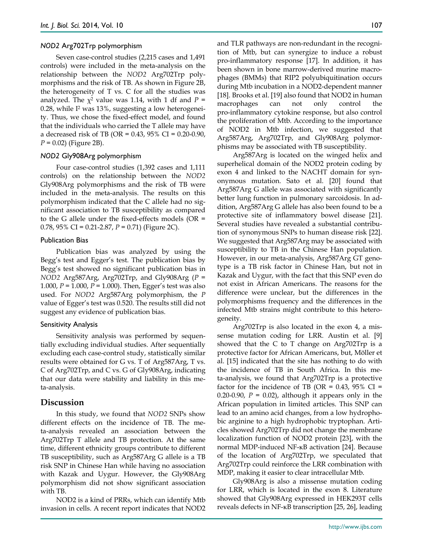#### *NOD2* Arg702Trp polymorphism

Seven case-control studies (2,215 cases and 1,491 controls) were included in the meta-analysis on the relationship between the *NOD2* Arg702Trp polymorphisms and the risk of TB. As shown in Figure 2B, the heterogeneity of T vs. C for all the studies was analyzed. The  $\chi^2$  value was 1.14, with 1 df and  $P =$ 0.28, while I2 was 13%, suggesting a low heterogeneity. Thus, we chose the fixed-effect model, and found that the individuals who carried the T allele may have a decreased risk of TB (OR = 0.43, 95% CI = 0.20-0.90, *P* = 0.02) (Figure 2B).

#### *NOD2* Gly908Arg polymorphism

Four case-control studies (1,392 cases and 1,111 controls) on the relationship between the *NOD2* Gly908Arg polymorphisms and the risk of TB were included in the meta-analysis. The results on this polymorphism indicated that the C allele had no significant association to TB susceptibility as compared to the G allele under the fixed-effects models (OR = 0.78, 95% CI = 0.21-2.87, *P* = 0.71) (Figure 2C).

#### Publication Bias

Publication bias was analyzed by using the Begg's test and Egger's test. The publication bias by Begg's test showed no significant publication bias in *NOD2* Arg587Arg, Arg702Trp, and Gly908Arg (*P* = 1.000, *P* = 1.000, *P* = 1.000). Then, Egger's test was also used. For *NOD2* Arg587Arg polymorphism, the *P* value of Egger's test was 0.520. The results still did not suggest any evidence of publication bias.

#### Sensitivity Analysis

Sensitivity analysis was performed by sequentially excluding individual studies. After sequentially excluding each case-control study, statistically similar results were obtained for G vs. T of Arg587Arg, T vs. C of Arg702Trp, and C vs. G of Gly908Arg, indicating that our data were stability and liability in this meta-analysis.

# **Discussion**

In this study, we found that *NOD2* SNPs show different effects on the incidence of TB. The meta-analysis revealed an association between the Arg702Trp T allele and TB protection. At the same time, different ethnicity groups contribute to different TB susceptibility, such as Arg587Arg G allele is a TB risk SNP in Chinese Han while having no association with Kazak and Uygur. However, the Gly908Arg polymorphism did not show significant association with TB.

NOD2 is a kind of PRRs, which can identify Mtb invasion in cells. A recent report indicates that NOD2 and TLR pathways are non-redundant in the recognition of Mtb, but can synergize to induce a robust pro-inflammatory response [17]. In addition, it has been shown in bone marrow-derived murine macrophages (BMMs) that RIP2 polyubiquitination occurs during Mtb incubation in a NOD2-dependent manner [18]. Brooks et al. [19] also found that NOD2 in human macrophages can not only control the pro-inflammatory cytokine response, but also control the proliferation of Mtb. According to the importance of NOD2 in Mtb infection, we suggested that Arg587Arg, Arg702Trp, and Gly908Arg polymorphisms may be associated with TB susceptibility.

Arg587Arg is located on the winged helix and superhelical domain of the NOD2 protein coding by exon 4 and linked to the NACHT domain for synonymous mutation. Sato et al. [20] found that Arg587Arg G allele was associated with significantly better lung function in pulmonary sarcoidosis. In addition, Arg587Arg G allele has also been found to be a protective site of inflammatory bowel disease [21]. Several studies have revealed a substantial contribution of synonymous SNPs to human disease risk [22]. We suggested that Arg587Arg may be associated with susceptibility to TB in the Chinese Han population. However, in our meta-analysis, Arg587Arg GT genotype is a TB risk factor in Chinese Han, but not in Kazak and Uygur, with the fact that this SNP even do not exist in African Americans. The reasons for the difference were unclear, but the differences in the polymorphisms frequency and the differences in the infected Mtb strains might contribute to this heterogeneity.

Arg702Trp is also located in the exon 4, a missense mutation coding for LRR. Austin et al. [9] showed that the C to T change on Arg702Trp is a protective factor for African Americans, but, Möller et al. [15] indicated that the site has nothing to do with the incidence of TB in South Africa. In this meta-analysis, we found that Arg702Trp is a protective factor for the incidence of TB (OR =  $0.43$ ,  $95\%$  CI = 0.20-0.90,  $P = 0.02$ ), although it appears only in the African population in limited articles. This SNP can lead to an amino acid changes, from a low hydrophobic arginine to a high hydrophobic tryptophan. Articles showed Arg702Trp did not change the membrane localization function of NOD2 protein [23], with the normal MDP-induced NF-κB activation [24]. Because of the location of Arg702Trp, we speculated that Arg702Trp could reinforce the LRR combination with MDP, making it easier to clear intracellular Mtb.

Gly908Arg is also a missense mutation coding for LRR, which is located in the exon 8. Literature showed that Gly908Arg expressed in HEK293T cells reveals defects in NF-κB transcription [25, 26], leading